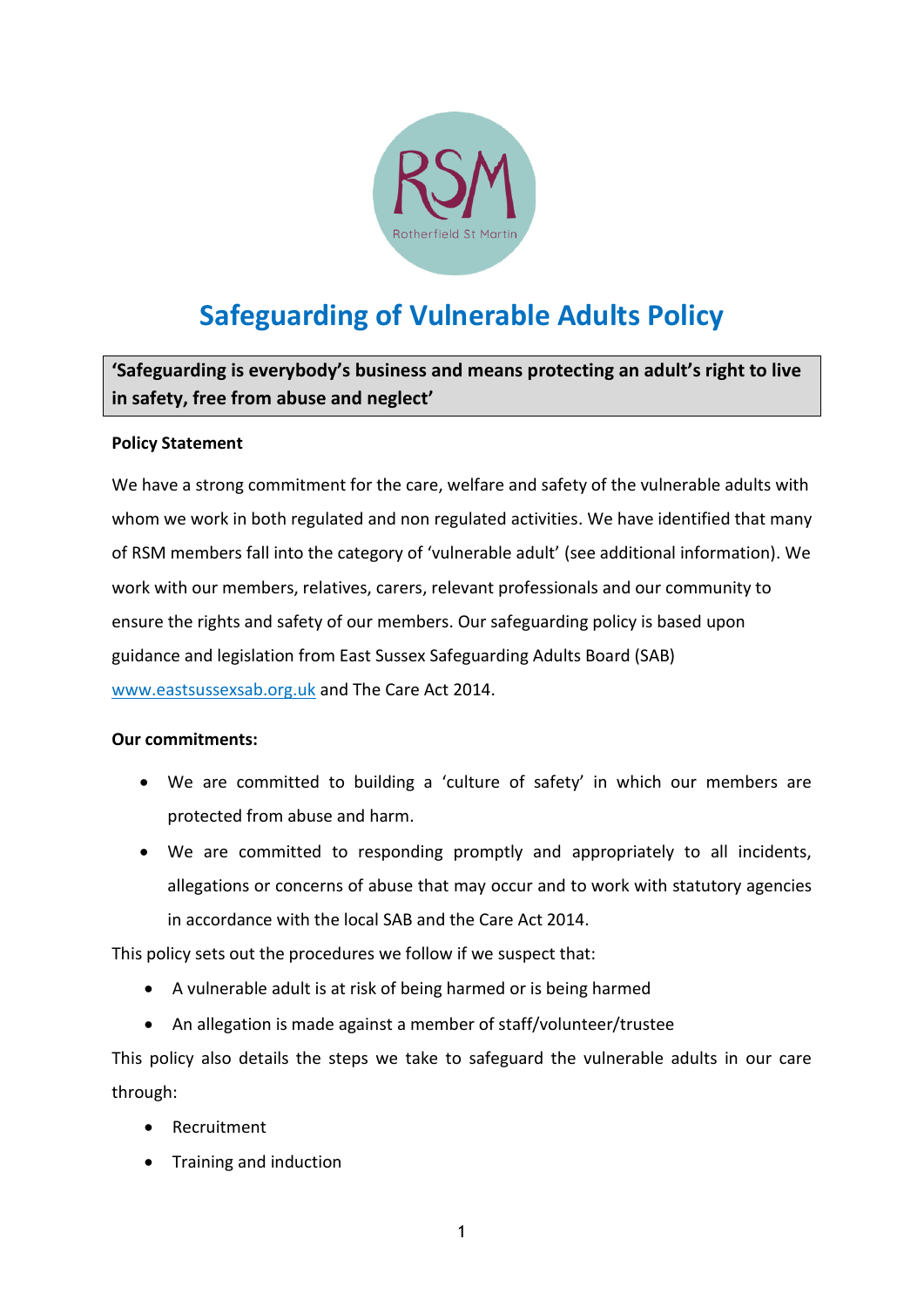

# **Safeguarding of Vulnerable Adults Policy**

**'Safeguarding is everybody's business and means protecting an adult's right to live in safety, free from abuse and neglect'**

# **Policy Statement**

We have a strong commitment for the care, welfare and safety of the vulnerable adults with whom we work in both regulated and non regulated activities. We have identified that many of RSM members fall into the category of 'vulnerable adult' (see additional information). We work with our members, relatives, carers, relevant professionals and our community to ensure the rights and safety of our members. Our safeguarding policy is based upon guidance and legislation from East Sussex Safeguarding Adults Board (SAB) [www.eastsussexsab.org.uk](http://www.eastsussexsab.org.uk/) and The Care Act 2014.

# **Our commitments:**

- We are committed to building a 'culture of safety' in which our members are protected from abuse and harm.
- We are committed to responding promptly and appropriately to all incidents, allegations or concerns of abuse that may occur and to work with statutory agencies in accordance with the local SAB and the Care Act 2014.

This policy sets out the procedures we follow if we suspect that:

- A vulnerable adult is at risk of being harmed or is being harmed
- An allegation is made against a member of staff/volunteer/trustee

This policy also details the steps we take to safeguard the vulnerable adults in our care through:

- Recruitment
- Training and induction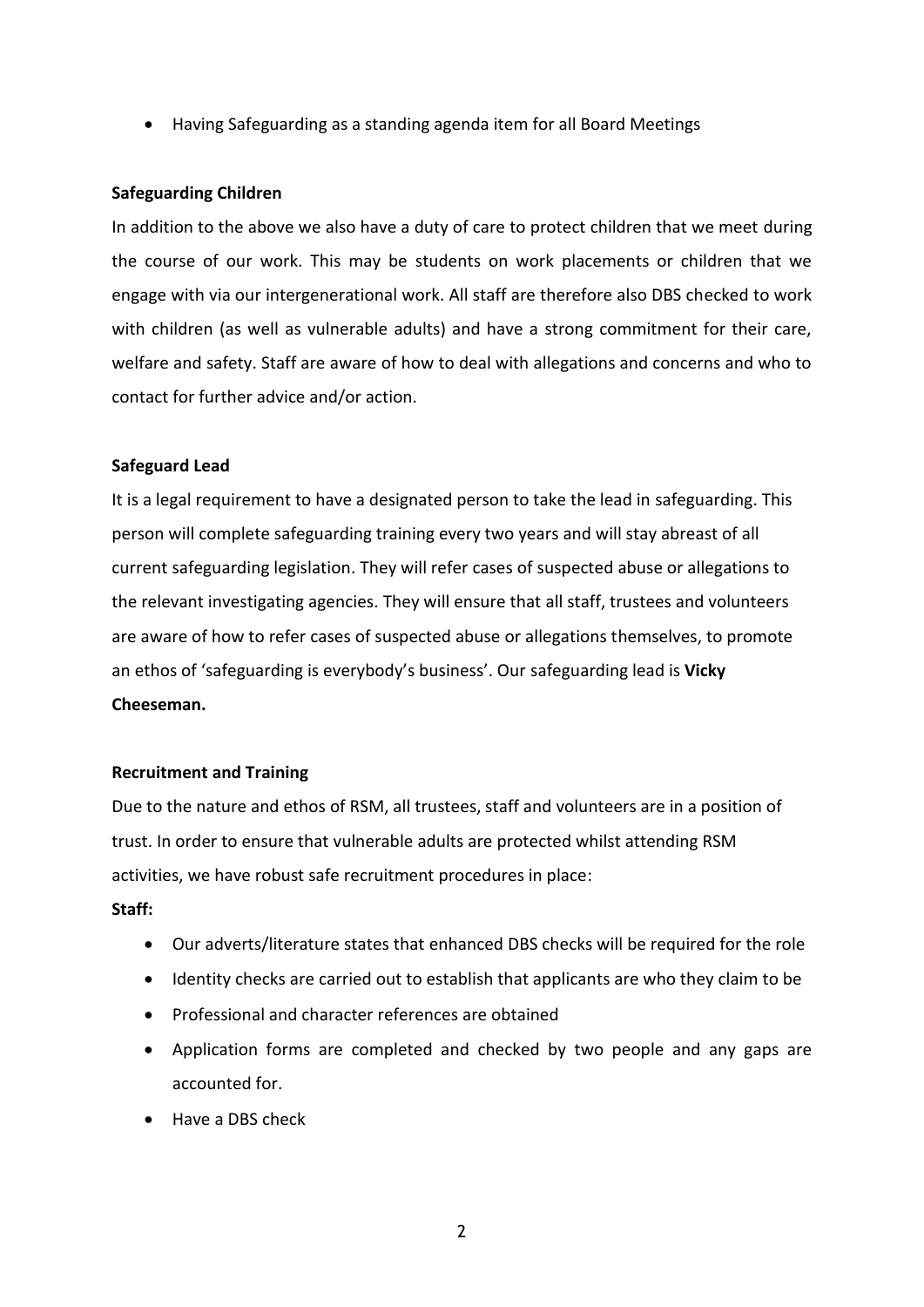• Having Safeguarding as a standing agenda item for all Board Meetings

#### **Safeguarding Children**

In addition to the above we also have a duty of care to protect children that we meet during the course of our work. This may be students on work placements or children that we engage with via our intergenerational work. All staff are therefore also DBS checked to work with children (as well as vulnerable adults) and have a strong commitment for their care, welfare and safety. Staff are aware of how to deal with allegations and concerns and who to contact for further advice and/or action.

#### **Safeguard Lead**

It is a legal requirement to have a designated person to take the lead in safeguarding. This person will complete safeguarding training every two years and will stay abreast of all current safeguarding legislation. They will refer cases of suspected abuse or allegations to the relevant investigating agencies. They will ensure that all staff, trustees and volunteers are aware of how to refer cases of suspected abuse or allegations themselves, to promote an ethos of 'safeguarding is everybody's business'. Our safeguarding lead is **Vicky Cheeseman.**

#### **Recruitment and Training**

Due to the nature and ethos of RSM, all trustees, staff and volunteers are in a position of trust. In order to ensure that vulnerable adults are protected whilst attending RSM activities, we have robust safe recruitment procedures in place:

#### **Staff:**

- Our adverts/literature states that enhanced DBS checks will be required for the role
- Identity checks are carried out to establish that applicants are who they claim to be
- Professional and character references are obtained
- Application forms are completed and checked by two people and any gaps are accounted for.
- Have a DBS check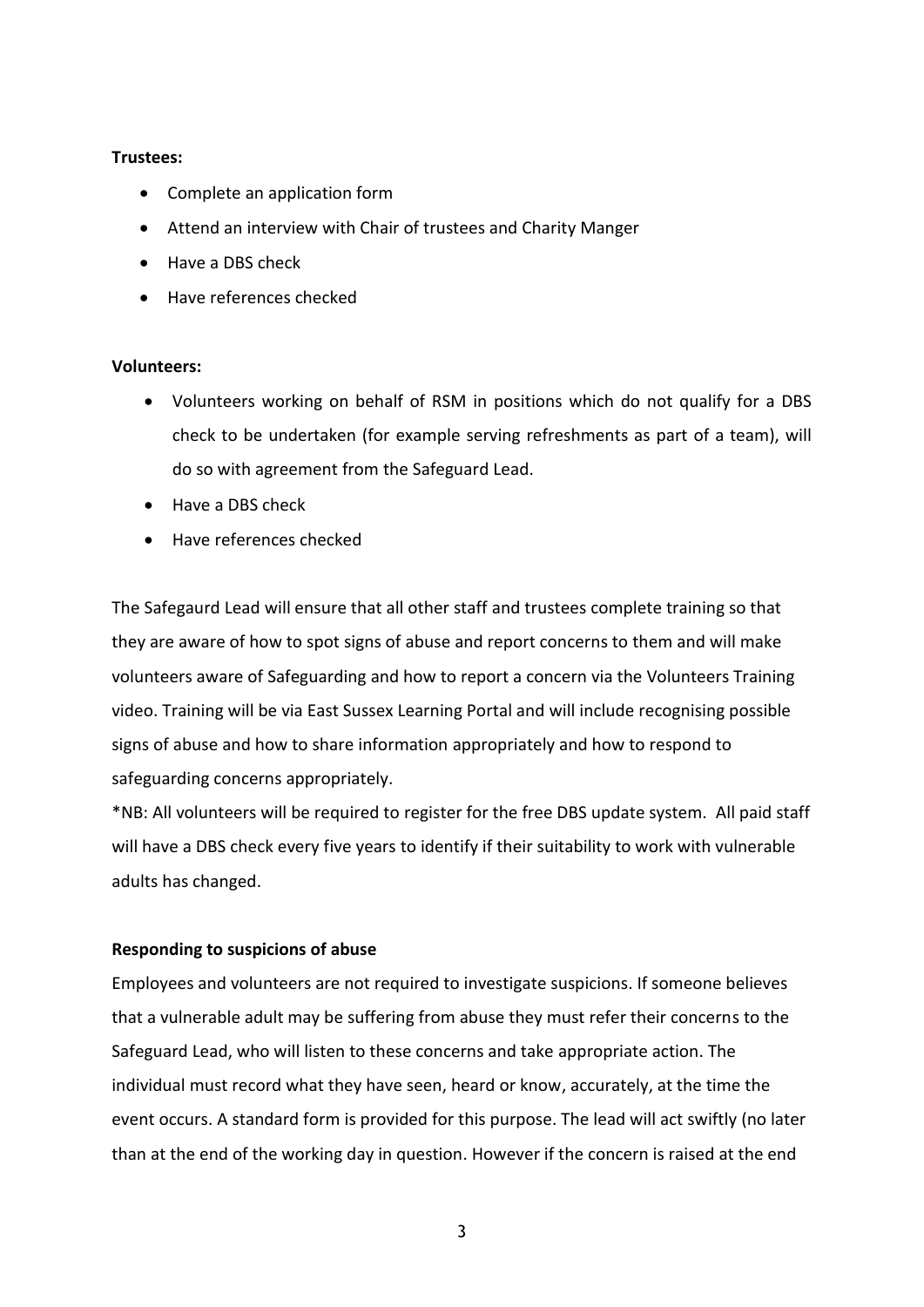# **Trustees:**

- Complete an application form
- Attend an interview with Chair of trustees and Charity Manger
- Have a DBS check
- Have references checked

# **Volunteers:**

- Volunteers working on behalf of RSM in positions which do not qualify for a DBS check to be undertaken (for example serving refreshments as part of a team), will do so with agreement from the Safeguard Lead.
- Have a DBS check
- Have references checked

The Safegaurd Lead will ensure that all other staff and trustees complete training so that they are aware of how to spot signs of abuse and report concerns to them and will make volunteers aware of Safeguarding and how to report a concern via the Volunteers Training video. Training will be via East Sussex Learning Portal and will include recognising possible signs of abuse and how to share information appropriately and how to respond to safeguarding concerns appropriately.

\*NB: All volunteers will be required to register for the free DBS update system. All paid staff will have a DBS check every five years to identify if their suitability to work with vulnerable adults has changed.

# **Responding to suspicions of abuse**

Employees and volunteers are not required to investigate suspicions. If someone believes that a vulnerable adult may be suffering from abuse they must refer their concerns to the Safeguard Lead, who will listen to these concerns and take appropriate action. The individual must record what they have seen, heard or know, accurately, at the time the event occurs. A standard form is provided for this purpose. The lead will act swiftly (no later than at the end of the working day in question. However if the concern is raised at the end

3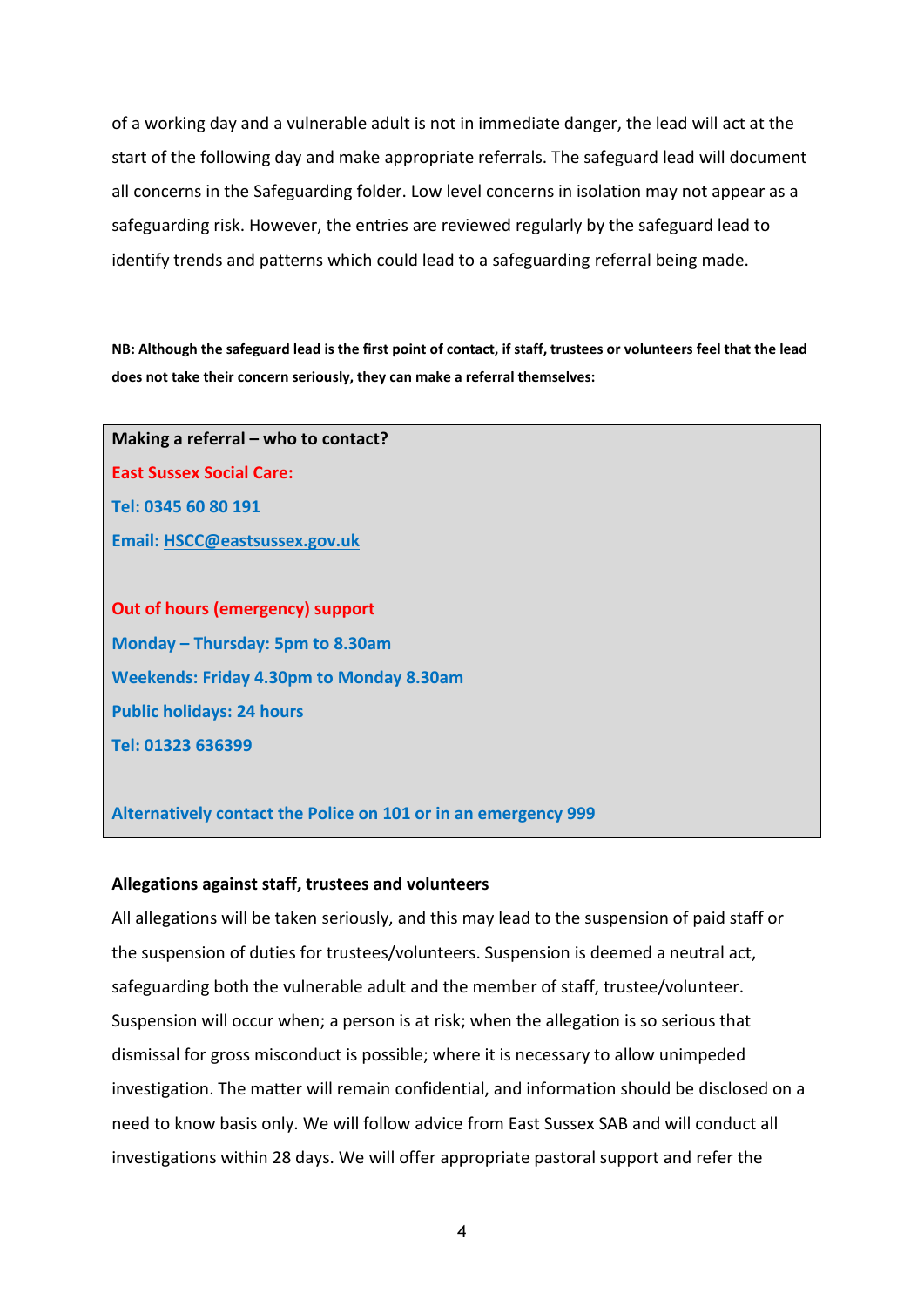of a working day and a vulnerable adult is not in immediate danger, the lead will act at the start of the following day and make appropriate referrals. The safeguard lead will document all concerns in the Safeguarding folder. Low level concerns in isolation may not appear as a safeguarding risk. However, the entries are reviewed regularly by the safeguard lead to identify trends and patterns which could lead to a safeguarding referral being made.

**NB: Although the safeguard lead is the first point of contact, if staff, trustees or volunteers feel that the lead does not take their concern seriously, they can make a referral themselves:**

**Making a referral – who to contact? East Sussex Social Care: Tel: 0345 60 80 191 Email: [HSCC@eastsussex.gov.uk](mailto:HSCC@eastsussex.gov.uk)**

**Out of hours (emergency) support Monday – Thursday: 5pm to 8.30am Weekends: Friday 4.30pm to Monday 8.30am Public holidays: 24 hours Tel: 01323 636399**

**Alternatively contact the Police on 101 or in an emergency 999**

#### **Allegations against staff, trustees and volunteers**

All allegations will be taken seriously, and this may lead to the suspension of paid staff or the suspension of duties for trustees/volunteers. Suspension is deemed a neutral act, safeguarding both the vulnerable adult and the member of staff, trustee/volunteer. Suspension will occur when; a person is at risk; when the allegation is so serious that dismissal for gross misconduct is possible; where it is necessary to allow unimpeded investigation. The matter will remain confidential, and information should be disclosed on a need to know basis only. We will follow advice from East Sussex SAB and will conduct all investigations within 28 days. We will offer appropriate pastoral support and refer the